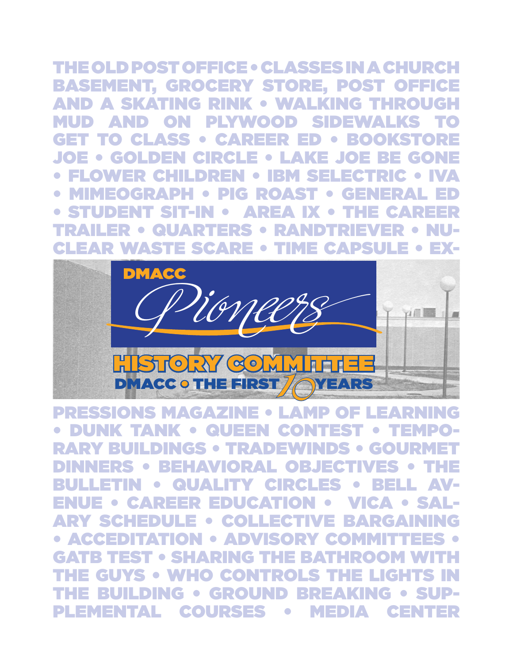# The Old Post Office • CLASSES IN A CHURCH

BASEMENT, GROCERY STORE, POST OFFICE AND A SKATING RINK • WALKING THROUGH MUD AND ON PLYWOOD SIDEWALKS TO GET TO CLASS • CAREER ED • BOOKSTORE JOE • GOLDEN CIRCLE • LAKE JOE BE GONE • FLOWER CHILDREN • IBM SELECTRIC • IVA • MIMEOGRAPH • PIG ROAST • GENERAL ED • STUDENT SIT-IN • AREA IX • THE CAREER TRAILER • QUARTERS • RANDTRIEVER • NU-CLEAR WASTE SCARE • TIME CAPSULE • EX-



**DMACC • THE FIRST / OYEARS<br>|ONS MAGAZINE • LAMP OF L<br>{ TANK • QUEEN CONTEST<br>BUILDINGS • TRADEWINDS • (** PRESSIONS MAGAZINE • LAMP OF LEARNING • DUNK TANK • QUEEN CONTEST • TEMPO-RARY BUILDINGS • TRADEWINDS • GOU DINNERS • BEHAVIORAL OBJECT BULLETIN • QUALITY CIRCLES • BELL AV-ENUE • CAREER EDUCATION • VICA • SAL-ARY SCHEDULE • COLLECTIVE BARGAINING • ACCEDITATION • ADVISORY COM **SHARING THE** • WHO CONTROLS the building • Ground Breaking • Supplemental COURSES • MEDIA CENTER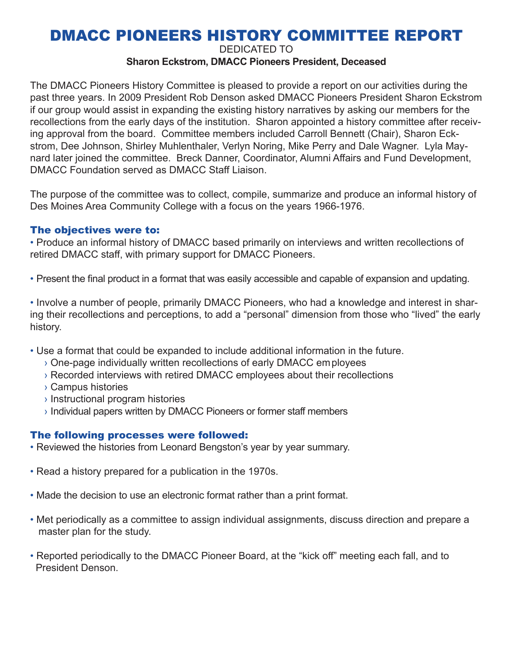## DMACC PIONEERS HISTORY COMMITTEE REPORT

Dedicated to

#### **Sharon Eckstrom, DMACC Pioneers President, Deceased**

The DMACC Pioneers History Committee is pleased to provide a report on our activities during the past three years. In 2009 President Rob Denson asked DMACC Pioneers President Sharon Eckstrom if our group would assist in expanding the existing history narratives by asking our members for the recollections from the early days of the institution. Sharon appointed a history committee after receiving approval from the board. Committee members included Carroll Bennett (Chair), Sharon Eckstrom, Dee Johnson, Shirley Muhlenthaler, Verlyn Noring, Mike Perry and Dale Wagner. Lyla Maynard later joined the committee. Breck Danner, Coordinator, Alumni Affairs and Fund Development, DMACC Foundation served as DMACC Staff Liaison.

The purpose of the committee was to collect, compile, summarize and produce an informal history of Des Moines Area Community College with a focus on the years 1966-1976.

#### The objectives were to:

• Produce an informal history of DMACC based primarily on interviews and written recollections of retired DMACC staff, with primary support for DMACC Pioneers.

• Present the final product in a format that was easily accessible and capable of expansion and updating.

• Involve a number of people, primarily DMACC Pioneers, who had a knowledge and interest in sharing their recollections and perceptions, to add a "personal" dimension from those who "lived" the early history.

- Use a format that could be expanded to include additional information in the future.
	- › One-page individually written recollections of early DMACC employees
	- › Recorded interviews with retired DMACC employees about their recollections
	- › Campus histories
	- › Instructional program histories
	- › Individual papers written by DMACC Pioneers or former staff members

#### The following processes were followed:

- Reviewed the histories from Leonard Bengston's year by year summary.
- Read a history prepared for a publication in the 1970s.
- Made the decision to use an electronic format rather than a print format.
- Met periodically as a committee to assign individual assignments, discuss direction and prepare a master plan for the study.
- Reported periodically to the DMACC Pioneer Board, at the "kick off" meeting each fall, and to President Denson.